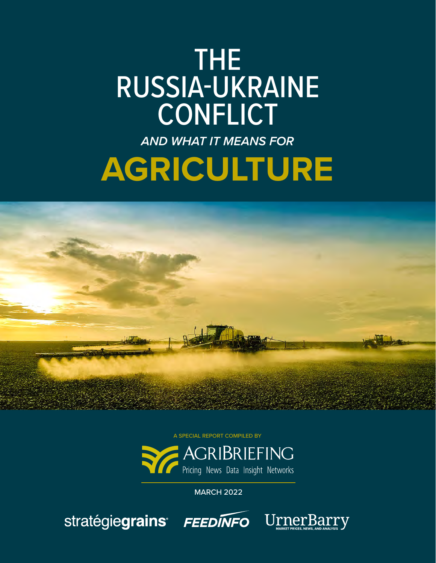# THE RUSSIA-UKRAINE **CONFLICT**

# *AND WHAT IT MEANS FOR* **AGRICULTURE**



A SPECIAL REPORT COMPILED BY



#### MARCH 2022

stratégiegrains FEEDINFO



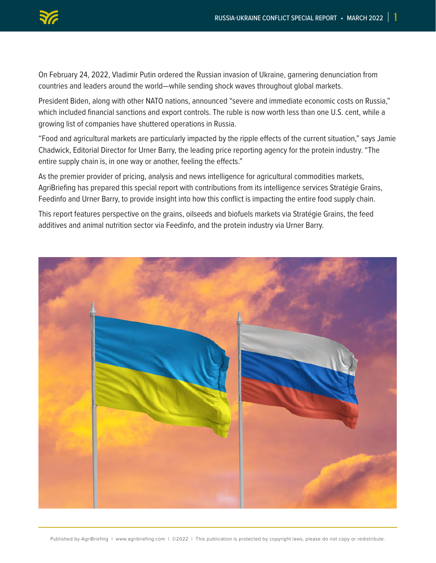

On February 24, 2022, Vladimir Putin ordered the Russian invasion of Ukraine, garnering denunciation from countries and leaders around the world—while sending shock waves throughout global markets.

President Biden, along with other NATO nations, announced "severe and immediate economic costs on Russia," which included financial sanctions and export controls. The ruble is now worth less than one U.S. cent, while a growing list of companies have shuttered operations in Russia.

"Food and agricultural markets are particularly impacted by the ripple effects of the current situation," says Jamie Chadwick, Editorial Director for Urner Barry, the leading price reporting agency for the protein industry. "The entire supply chain is, in one way or another, feeling the effects."

As the premier provider of pricing, analysis and news intelligence for agricultural commodities markets, AgriBriefing has prepared this special report with contributions from its intelligence services Stratégie Grains, Feedinfo and Urner Barry, to provide insight into how this conflict is impacting the entire food supply chain.

This report features perspective on the grains, oilseeds and biofuels markets via Stratégie Grains, the feed additives and animal nutrition sector via Feedinfo, and the protein industry via Urner Barry.

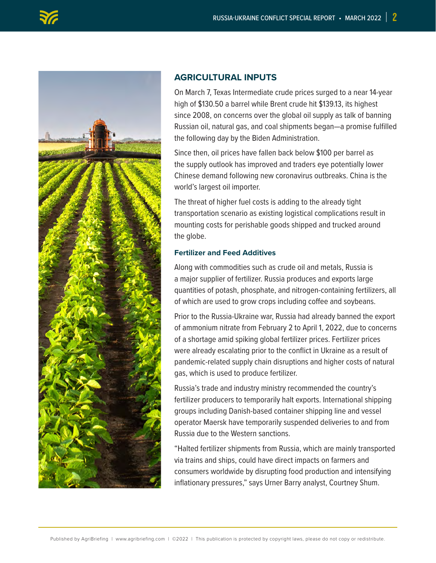

## **AGRICULTURAL INPUTS**

On March 7, Texas Intermediate crude prices surged to a near 14-year high of \$130.50 a barrel while Brent crude hit \$139.13, its highest since 2008, on concerns over the global oil supply as talk of banning Russian oil, natural gas, and coal shipments began—a promise fulfilled the following day by the Biden Administration.

Since then, oil prices have fallen back below \$100 per barrel as the supply outlook has improved and traders eye potentially lower Chinese demand following new coronavirus outbreaks. China is the world's largest oil importer.

The threat of higher fuel costs is adding to the already tight transportation scenario as existing logistical complications result in mounting costs for perishable goods shipped and trucked around the globe.

#### **Fertilizer and Feed Additives**

Along with commodities such as crude oil and metals, Russia is a major supplier of fertilizer. Russia produces and exports large quantities of potash, phosphate, and nitrogen-containing fertilizers, all of which are used to grow crops including coffee and soybeans.

Prior to the Russia-Ukraine war, Russia had already banned the export of ammonium nitrate from February 2 to April 1, 2022, due to concerns of a shortage amid spiking global fertilizer prices. Fertilizer prices were already escalating prior to the conflict in Ukraine as a result of pandemic-related supply chain disruptions and higher costs of natural gas, which is used to produce fertilizer.

Russia's trade and industry ministry recommended the country's fertilizer producers to temporarily halt exports. International shipping groups including Danish-based container shipping line and vessel operator Maersk have temporarily suspended deliveries to and from Russia due to the Western sanctions.

"Halted fertilizer shipments from Russia, which are mainly transported via trains and ships, could have direct impacts on farmers and consumers worldwide by disrupting food production and intensifying inflationary pressures," says Urner Barry analyst, Courtney Shum.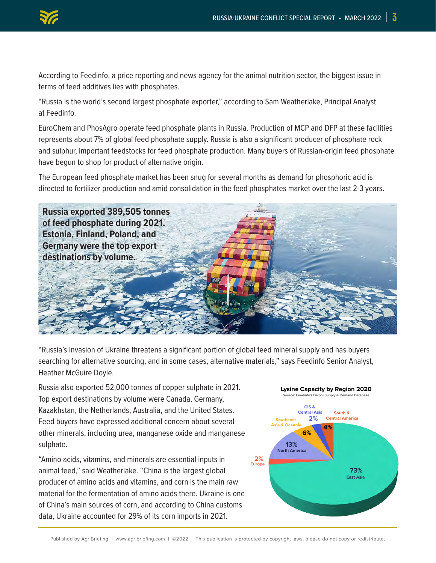According to Feedinfo, a price reporting and news agency for the animal nutrition sector, the biggest issue in terms of feed additives lies with phosphates.

"Russia is the world's second largest phosphate exporter," according to Sam Weatherlake, Principal Analyst at Feedinfo.

EuroChem and PhosAgro operate feed phosphate plants in Russia. Production of MCP and DFP at these facilities represents about 7% of global feed phosphate supply. Russia is also a significant producer of phosphate rock and sulphur, important feedstocks for feed phosphate production. Many buyers of Russian-origin feed phosphate have begun to shop for product of alternative origin.

The European feed phosphate market has been snug for several months as demand for phosphoric acid is directed to fertilizer production and amid consolidation in the feed phosphates market over the last 2-3 years.



"Russia's invasion of Ukraine threatens a significant portion of global feed mineral supply and has buyers searching for alternative sourcing, and in some cases, alternative materials," says Feedinfo Senior Analyst, Heather McGuire Doyle.

Russia also exported 52,000 tonnes of copper sulphate in 2021. Top export destinations by volume were Canada, Germany, Kazakhstan, the Netherlands, Australia, and the United States. Feed buyers have expressed additional concern about several other minerals, including urea, manganese oxide and manganese sulphate.

"Amino acids, vitamins, and minerals are essential inputs in animal feed," said Weatherlake. "China is the largest global producer of amino acids and vitamins, and corn is the main raw material for the fermentation of amino acids there. Ukraine is one of China's main sources of corn, and according to China customs data, Ukraine accounted for 29% of its corn imports in 2021.

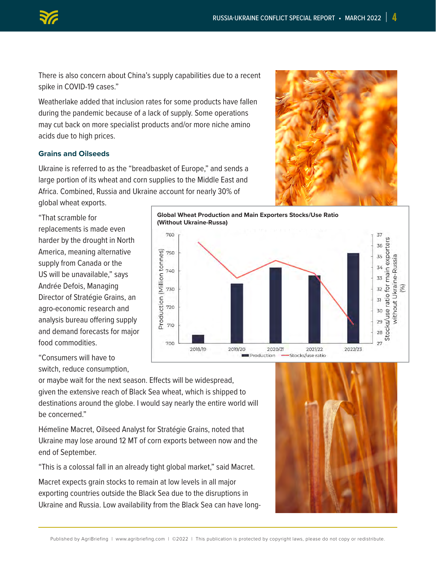There is also concern about China's supply capabilities due to a recent spike in COVID-19 cases."

Weatherlake added that inclusion rates for some products have fallen during the pandemic because of a lack of supply. Some operations may cut back on more specialist products and/or more niche amino acids due to high prices.

### **Grains and Oilseeds**

Ukraine is referred to as the "breadbasket of Europe," and sends a large portion of its wheat and corn supplies to the Middle East and Africa. Combined, Russia and Ukraine account for nearly 30% of global wheat exports.

"That scramble for replacements is made even harder by the drought in North America, meaning alternative supply from Canada or the US will be unavailable," says Andrée Defois, Managing Director of Stratégie Grains, an agro-economic research and analysis bureau offering supply and demand forecasts for major food commodities.

"Consumers will have to switch, reduce consumption,

or maybe wait for the next season. Effects will be widespread, given the extensive reach of Black Sea wheat, which is shipped to destinations around the globe. I would say nearly the entire world will be concerned."

Hémeline Macret, Oilseed Analyst for Stratégie Grains, noted that Ukraine may lose around 12 MT of corn exports between now and the end of September.

"This is a colossal fall in an already tight global market," said Macret.

Macret expects grain stocks to remain at low levels in all major exporting countries outside the Black Sea due to the disruptions in Ukraine and Russia. Low availability from the Black Sea can have long-





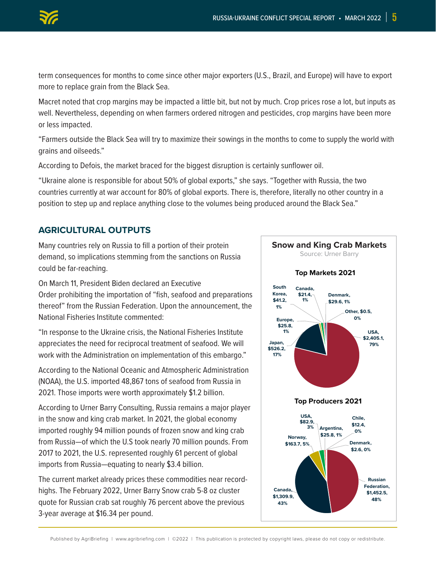term consequences for months to come since other major exporters (U.S., Brazil, and Europe) will have to export more to replace grain from the Black Sea.

Macret noted that crop margins may be impacted a little bit, but not by much. Crop prices rose a lot, but inputs as well. Nevertheless, depending on when farmers ordered nitrogen and pesticides, crop margins have been more or less impacted.

"Farmers outside the Black Sea will try to maximize their sowings in the months to come to supply the world with grains and oilseeds."

According to Defois, the market braced for the biggest disruption is certainly sunflower oil.

"Ukraine alone is responsible for about 50% of global exports," she says. "Together with Russia, the two countries currently at war account for 80% of global exports. There is, therefore, literally no other country in a position to step up and replace anything close to the volumes being produced around the Black Sea."

## **AGRICULTURAL OUTPUTS**

Many countries rely on Russia to fill a portion of their protein demand, so implications stemming from the sanctions on Russia could be far-reaching.

On March 11, President Biden declared an Executive Order prohibiting the importation of "fish, seafood and preparations thereof" from the Russian Federation. Upon the announcement, the National Fisheries Institute commented:

"In response to the Ukraine crisis, the National Fisheries Institute appreciates the need for reciprocal treatment of seafood. We will work with the Administration on implementation of this embargo."

According to the National Oceanic and Atmospheric Administration **Source Administration** (NOAA), the U.S. imported 48,867 tons of seafood from Russia in 2021. Those imports were worth approximately \$1.2 billion.

According to Urner Barry Consulting, Russia remains a major player in the snow and king crab market. In 2021, the global economy **South**  imported roughly 94 million pounds of frozen snow and king crab **\$41.2,**  from Russia—of which the U.S took nearly 70 million pounds. From **Other, \$0.5,**  2017 to 2021, the U.S. represented roughly 61 percent of global **Europe,**  imports from Russia—equating to nearly \$3.4 billion. **1% Japan, 79%** eseni **C** market. In 2 **1% \$21.4, Denmark, 1% \$29.6, 1% 0%**

The current market already prices these commodities near record-**\$526.2,**  highs. The February 2022, Urner Barry Snow crab 5-8 oz cluster quote for Russian crab sat roughly 76 percent above the previous 3-year average at \$16.34 per pound. **17%**

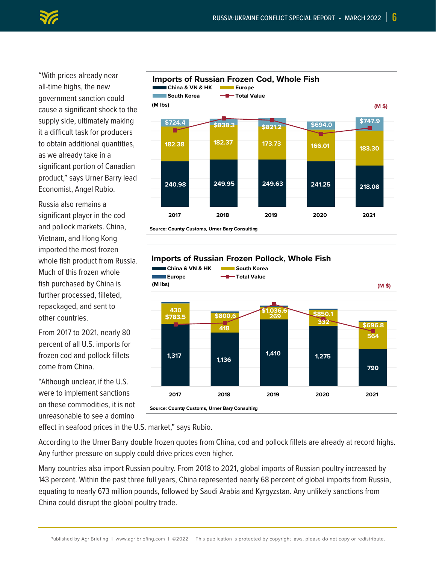"With prices already near all-time highs, the new government sanction could cause a significant shock to the supply side, ultimately making it a difficult task for producers to obtain additional quantities, as we already take in a significant portion of Canadian product," says Urner Barry lead Economist, Angel Rubio.

Russia also remains a significant player in the cod and pollock markets. China, Vietnam, and Hong Kong imported the most frozen whole fish product from Russia. Much of this frozen whole fish purchased by China is further processed, filleted, repackaged, and sent to other countries.

From 2017 to 2021, nearly 80 percent of all U.S. imports for frozen cod and pollock fillets come from China.

"Although unclear, if the U.S. were to implement sanctions on these commodities, it is not unreasonable to see a domino





effect in seafood prices in the U.S. market," says Rubio.

According to the Urner Barry double frozen quotes from China, cod and pollock fillets are already at record highs. Any further pressure on supply could drive prices even higher.

Many countries also import Russian poultry. From 2018 to 2021, global imports of Russian poultry increased by 143 percent. Within the past three full years, China represented nearly 68 percent of global imports from Russia, equating to nearly 673 million pounds, followed by Saudi Arabia and Kyrgyzstan. Any unlikely sanctions from China could disrupt the global poultry trade.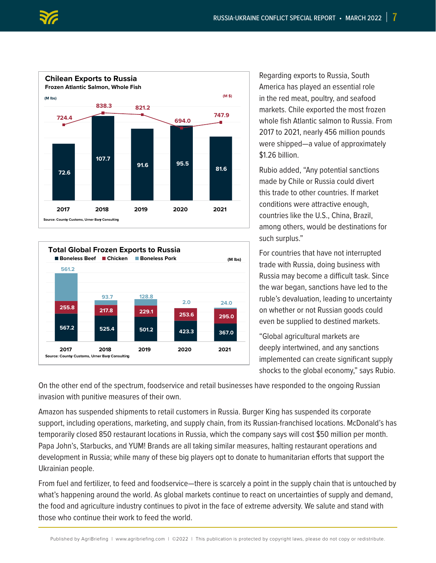



Regarding exports to Russia, South America has played an essential role in the red meat, poultry, and seafood markets. Chile exported the most frozen whole fish Atlantic salmon to Russia. From 2017 to 2021, nearly 456 million pounds were shipped—a value of approximately \$1.26 billion.

Rubio added, "Any potential sanctions made by Chile or Russia could divert this trade to other countries. If market conditions were attractive enough, countries like the U.S., China, Brazil, among others, would be destinations for such surplus."

For countries that have not interrupted trade with Russia, doing business with Russia may become a difficult task. Since the war began, sanctions have led to the ruble's devaluation, leading to uncertainty on whether or not Russian goods could even be supplied to destined markets.

"Global agricultural markets are deeply intertwined, and any sanctions implemented can create significant supply shocks to the global economy," says Rubio.

On the other end of the spectrum, foodservice and retail businesses have responded to the ongoing Russian invasion with punitive measures of their own.

Amazon has suspended shipments to retail customers in Russia. Burger King has suspended its corporate support, including operations, marketing, and supply chain, from its Russian-franchised locations. McDonald's has temporarily closed 850 restaurant locations in Russia, which the company says will cost \$50 million per month. Papa John's, Starbucks, and YUM! Brands are all taking similar measures, halting restaurant operations and development in Russia; while many of these big players opt to donate to humanitarian efforts that support the Ukrainian people.

From fuel and fertilizer, to feed and foodservice—there is scarcely a point in the supply chain that is untouched by what's happening around the world. As global markets continue to react on uncertainties of supply and demand, the food and agriculture industry continues to pivot in the face of extreme adversity. We salute and stand with those who continue their work to feed the world.